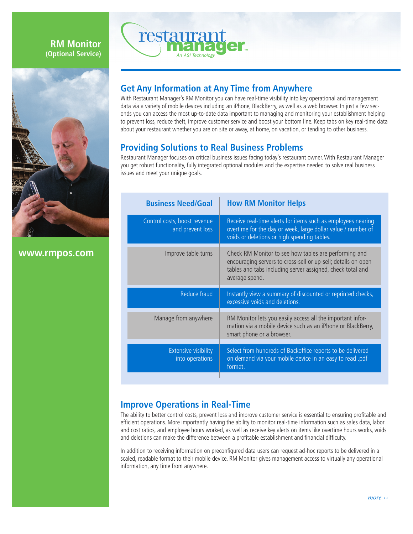### **RM Monitor (Optional Service)**



**www.rmpos.com**



# **Get Any Information at Any Time from Anywhere**

With Restaurant Manager's RM Monitor you can have real-time visibility into key operational and management data via a variety of mobile devices including an iPhone, BlackBerry, as well as a web browser. In just a few seconds you can access the most up-to-date data important to managing and monitoring your establishment helping to prevent loss, reduce theft, improve customer service and boost your bottom line. Keep tabs on key real-time data about your restaurant whether you are on site or away, at home, on vacation, or tending to other business.

## **Providing Solutions to Real Business Problems**

Restaurant Manager focuses on critical business issues facing today's restaurant owner. With Restaurant Manager you get robust functionality, fully integrated optional modules and the expertise needed to solve real business issues and meet your unique goals.

| <b>Business Need/Goal</b>                        | <b>How RM Monitor Helps</b>                                                                                                                                                                            |
|--------------------------------------------------|--------------------------------------------------------------------------------------------------------------------------------------------------------------------------------------------------------|
| Control costs, boost revenue<br>and prevent loss | Receive real-time alerts for items such as employees nearing<br>overtime for the day or week, large dollar value / number of<br>voids or deletions or high spending tables.                            |
| Improve table turns                              | Check RM Monitor to see how tables are performing and<br>encouraging servers to cross-sell or up-sell; details on open<br>tables and tabs including server assigned, check total and<br>average spend. |
|                                                  |                                                                                                                                                                                                        |
| Reduce fraud                                     | Instantly view a summary of discounted or reprinted checks,<br>excessive voids and deletions.                                                                                                          |
| Manage from anywhere                             | RM Monitor lets you easily access all the important infor-<br>mation via a mobile device such as an iPhone or BlackBerry,<br>smart phone or a browser.                                                 |
| <b>Extensive visibility</b><br>into operations   | Select from hundreds of Backoffice reports to be delivered<br>on demand via your mobile device in an easy to read .pdf<br>format.                                                                      |

#### **Improve Operations in Real-Time**

The ability to better control costs, prevent loss and improve customer service is essential to ensuring profitable and efficient operations. More importantly having the ability to monitor real-time information such as sales data, labor and cost ratios, and employee hours worked, as well as receive key alerts on items like overtime hours works, voids and deletions can make the difference between a profitable establishment and financial difficulty.

In addition to receiving information on preconfigured data users can request ad-hoc reports to be delivered in a scaled, readable format to their mobile device. RM Monitor gives management access to virtually any operational information, any time from anywhere.